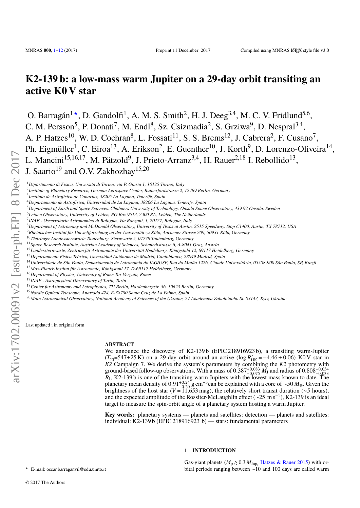# **K2-139 b: a low-mass warm Jupiter on a 29-day orbit transiting an active K0 V star**

O. Barragán<sup>1\*</sup>, D. Gandolfi<sup>1</sup>, A. M. S. Smith<sup>2</sup>, H. J. Deeg<sup>3,4</sup>, M. C. V. Fridlund<sup>5,6</sup>, C. M. Persson<sup>5</sup>, P. Donati<sup>7</sup>, M. Endl<sup>8</sup>, Sz. Csizmadia<sup>2</sup>, S. Grziwa<sup>9</sup>, D. Nespral<sup>3,4</sup>, A. P. Hatzes<sup>10</sup>, W. D. Cochran<sup>8</sup>, L. Fossati<sup>11</sup>, S. S. Brems<sup>12</sup>, J. Cabrera<sup>2</sup>, F. Cusano<sup>7</sup>, Ph. Eigmüller<sup>1</sup>, C. Eiroa<sup>13</sup>, A. Erikson<sup>2</sup>, E. Guenther<sup>10</sup>, J. Korth<sup>9</sup>, D. Lorenzo-Oliveira<sup>14</sup>, L. Mancini<sup>15,16,17</sup>, M. Pätzold<sup>9</sup>, J. Prieto-Arranz<sup>3,4</sup>, H. Rauer<sup>2,18</sup> I. Rebollido<sup>13</sup>, J. Saario<sup>19</sup> and O.V. Zakhozhay<sup>15,20</sup>

<sup>1</sup>*Dipartimento di Fisica, Universitá di Torino, via P. Giuria 1, 10125 Torino, Italy*

2 *Institute of Planetary Research, German Aerospace Center, Rutherfordstrasse 2, 12489 Berlin, Germany*

- <sup>5</sup>*Department of Earth and Space Sciences, Chalmers University of Technology, Onsala Space Observatory, 439 92 Onsala, Sweden*
- <sup>6</sup>*Leiden Observatory, University of Leiden, PO Box 9513, 2300 RA, Leiden, The Netherlands*
- 7 *INAF Osservatorio Astronomico di Bologna, Via Ranzani, 1, 20127, Bologna, Italy*
- <sup>8</sup>*Department of Astronomy and McDonald Observatory, University of Texas at Austin, 2515 Speedway, Stop C1400, Austin, TX 78712, USA*
- <sup>9</sup>*Rheinisches Institut für Umweltforschung an der Universität zu Köln, Aachener Strasse 209, 50931 Köln, Germany*
- <sup>10</sup>*Thüringer Landessternwarte Tautenburg, Sternwarte 5, 07778 Tautenburg, Germany*
- <sup>11</sup>*Space Research Institute, Austrian Academy of Sciences, Schmiedlstrasse 6, A-8041 Graz, Austria*
- <sup>12</sup>*Landessternwarte, Zentrum für Astronomie der Universität Heidelberg, Königstuhl 12, 69117 Heidelberg, Germany*
- <sup>13</sup>*Departamento Física Teórica, Unversidad Autónoma de Madrid, Cantoblanco, 28049 Madrid, Spain*
- <sup>14</sup>*Universidade de São Paulo, Departamento de Astronomia do IAG/USP, Rua do Matão 1226, Cidade Universitária, 05508-900 São Paulo, SP, Brazil*
- <sup>15</sup>*Max-Planck-Institut für Astronomie, Königstuhl 17, D-69117 Heidelberg, Germany*
- <sup>16</sup>*Department of Physics, University of Rome Tor Vergata, Rome*

<sup>17</sup>*INAF - Astrophysical Observatory of Turin, Turin*

- <sup>18</sup>*Center for Astronomy and Astrophysics, TU Berlin, Hardenbergstr. 36, 10623 Berlin, Germany*
- <sup>19</sup>*Nordic Optical Telescope, Apartado 474, E-38700 Santa Cruz de La Palma, Spain*
- <sup>20</sup>*Main Astronomical Observatory, National Academy of Sciences of the Ukraine, 27 Akademika Zabolotnoho St. 03143, Kyiv, Ukraine*

Last updated ; in original form

#### **ABSTRACT**

We announce the discovery of K2-139b (EPIC 218916923 b), a transiting warm-Jupiter  $(T_{\text{eq}} = 547 \pm 25 \text{ K})$  on a 29-day orbit around an active (log  $R'_{\text{HK}} = -4.46 \pm 0.06$ ) K0 V star in *K2* Campaign 7. We derive the system's parameters by combining the *K2* photometry with ground-based follow-up observations. With a mass of  $0.387^{+0.083}_{-0.075}$  *M*<sub>J</sub> and radius of  $0.808^{+0.034}_{-0.033}$  *R*<sub>J</sub>, K2-139 b is one of the transiting warm Jupiters with the lowest mass known to date. The planetary mean density of  $0.91_{-0.20}^{+0.24}$  g cm<sup>-3</sup>can be explained with a core of ~50  $M_{\oplus}$ . Given the brightness of the host star (V = 11.653 mag), the relatively short transit duration (~5 hours). brightness of the host star ( $V = 11.653$  mag), the relatively short transit duration ( $\sim$ 5 hours), and the expected amplitude of the Rossiter-McLaughlin effect ( $\sim$ 25 m s<sup>-1</sup>), K2-139 is an ideal target to measure the spin-orbit angle of a planetary system hosting a warm Jupiter.

**Key words:** planetary systems — planets and satellites: detection — planets and satellites: individual: K2-139 b (EPIC 218916923 b) — stars: fundamental parameters

# **1 INTRODUCTION**

Gas-giant planets ( $M_p \ge 0.3 M_{Jup}$ , [Hatzes & Rauer](#page-9-0) [2015\)](#page-9-0) with orbital periods ranging between ∼10 and 100 days are called warm

<span id="page-0-0"></span>? E-mail: oscar.barraganvil@edu.unito.it

<sup>3</sup> *Instituto de Astrofísica de Canarias, 38205 La Laguna, Tenerife, Spain*

<sup>4</sup>*Departamento de Astrofísica, Universidad de La Laguna, 38206 La Laguna, Tenerife, Spain*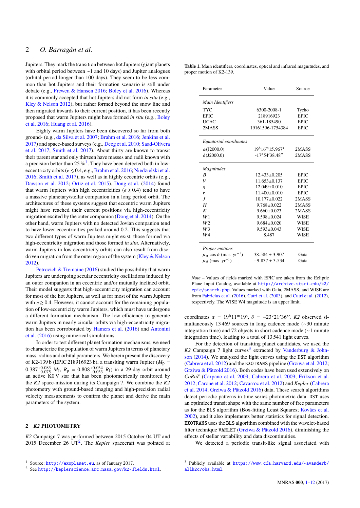Jupiters. They mark the transition between hot Jupiters (giant planets with orbital period between ∼1 and 10 days) and Jupiter analogues (orbital period longer than 100 days). They seem to be less common than hot Jupiters and their formation scenario is still under debate (e.g., [Frewen & Hansen](#page-9-1) [2016;](#page-9-1) [Boley et al.](#page-9-2) [2016\)](#page-9-2). Whereas it is commonly accepted that hot Jupiters did not form *in situ* (e.g., [Kley & Nelson](#page-9-3) [2012\)](#page-9-3), but rather formed beyond the snow line and then migrated inwards to their current position, it has been recently proposed that warm Jupiters might have formed *in situ* (e.g., [Boley](#page-9-2) [et al.](#page-9-2) [2016;](#page-9-2) [Huang et al.](#page-9-4) [2016\)](#page-9-4).

Eighty warm Jupiters have been discovered so far from both ground- (e.g., [da Silva et al.](#page-11-0) [2007;](#page-11-0) [Brahm et al.](#page-9-5) [2016;](#page-9-5) [Jenkins et al.](#page-9-6) [2017\)](#page-9-6) and space-based surveys (e.g., [Deeg et al.](#page-9-7) [2010;](#page-9-7) [Saad-Olivera](#page-11-1) [et al.](#page-11-1) [2017;](#page-11-1) [Smith et al.](#page-11-2) [2017\)](#page-11-2). About thirty are known to transit their parent star and only thirteen have masses and radii known with a precision better than  $25\%$ <sup>[1](#page-1-0)</sup>. They have been detected both in loweccentricity orbits ( $e \le 0.4$ , e.g., [Brahm et al.](#page-9-5) [2016;](#page-9-5) [Niedzielski et al.](#page-11-3) [2016;](#page-11-3) [Smith et al.](#page-11-2) [2017\)](#page-11-2), as well as in highly eccentric orbits (e.g., [Dawson et al.](#page-9-8) [2012;](#page-9-8) [Ortiz et al.](#page-11-4) [2015\)](#page-11-4). [Dong et al.](#page-9-9) [\(2014\)](#page-9-9) found that warm Jupiters with high eccentricities ( $e \ge 0.4$ ) tend to have a massive planetary/stellar companion in a long period orbit. The architectures of these systems suggest that eccentric warm Jupiters might have reached their current positions via high-eccentricity migration excited by the outer companion [\(Dong et al.](#page-9-9) [2014\)](#page-9-9). On the other hand, warm Jupiters with no detected Jovian companion tend to have lower eccentricities peaked around 0.2. This suggests that two different types of warm Jupiters might exist: those formed via high-eccentricity migration and those formed *in situ*. Alternatively, warm Jupiters in low-eccentricity orbits can also result from disc-driven migration from the outer region of the system [\(Kley & Nelson](#page-9-3) [2012\)](#page-9-3).

[Petrovich & Tremaine](#page-11-5) [\(2016\)](#page-11-5) studied the possibility that warm Jupiters are undergoing secular eccentricity oscillations induced by an outer companion in an eccentric and/or mutually inclined orbit. Their model suggests that high-eccentricity migration can account for most of the hot Jupiters, as well as for most of the warm Jupiters with  $e \ge 0.4$ . However, it cannot account for the remaining population of low-eccentricity warm Jupiters, which must have undergone a different formation mechanism. The low efficiency to generate warm Jupiters in nearly circular orbits via high-eccentricity migration has been corroborated by [Hamers et al.](#page-9-10) [\(2016\)](#page-9-10) and [Antonini](#page-9-11) [et al.](#page-9-11) [\(2016\)](#page-9-11) using numerical simulations.

In order to test different planet formation mechanisms, we need to characterize the population of warm Jupiters in terms of planetary mass, radius and orbital parameters. We herein present the discovery of K2-139 b (EPIC 218916923 b), a transiting warm Jupiter ( $M_p$  =  $0.387^{+0.083}_{-0.075}$   $M_J$ ,  $R_p = 0.808^{+0.034}_{-0.033}$   $R_J$ ) in a 29-day orbit around an active K0 V star that has been photometrically monitored by an active  $K0$  V star that has been photometrically monitored by the *K2* space-mission during its Campaign 7. We combine the *K2* photometry with ground-based imaging and high-precision radial velocity measurements to confirm the planet and derive the main parameters of the system.

# **2** *K2* **PHOTOMETRY**

*K2* Campaign 7 was performed between 2015 October 04 UT and [2](#page-1-1)015 December 26  $UT^2$ . The *Kepler* spacecraft was pointed at

<span id="page-1-3"></span>

| Table 1. Main identifiers, coordinates, optical and infrared magnitudes, and |  |
|------------------------------------------------------------------------------|--|
| proper motion of K2-139.                                                     |  |

| Parameter                                           | Value                                | Source      |
|-----------------------------------------------------|--------------------------------------|-------------|
| Main Identifiers                                    |                                      |             |
| TYC                                                 | 6300-2008-1                          | Tycho       |
| <b>EPIC</b>                                         | 218916923                            | <b>EPIC</b> |
| <b>UCAC</b>                                         | 361-185490                           | <b>EPIC</b> |
| 2MASS                                               | 19161596-1754384                     | <b>EPIC</b> |
| Equatorial coordinates                              |                                      |             |
| $\alpha$ (J2000.0)                                  | $19^{\rm h}16^{\rm m}15.967^{\rm s}$ | 2MASS       |
| $\delta$ (J2000.0)                                  | $-17^{\circ}54'38.48''$              | 2MASS       |
| <b>Magnitudes</b>                                   |                                      |             |
| R                                                   | $12.433 + 0.205$                     | <b>EPIC</b> |
| V                                                   | $11.653 + 0.137$                     | <b>EPIC</b> |
| g                                                   | $12.049 + 0.010$                     | <b>EPIC</b> |
| r                                                   | $11.400+0.010$                       | <b>EPIC</b> |
| $\overline{J}$                                      | $10.177 + 0.022$                     | 2MASS       |
| H                                                   | $9.768 + 0.022$                      | 2MASS       |
| K                                                   | $9.660 + 0.023$                      | 2MASS       |
| W1                                                  | $9.598 + 0.024$                      | <b>WISE</b> |
| W <sub>2</sub>                                      | $9.684 + 0.020$                      | <b>WISE</b> |
| W3                                                  | $9.593 + 0.043$                      | <b>WISE</b> |
| W4                                                  | 8.487                                | <b>WISE</b> |
| Proper motions                                      |                                      |             |
| $\mu_{\alpha}$ cos $\delta$ (mas yr <sup>-1</sup> ) | $38.584 \pm 3.907$                   | Gaia        |
| $\mu_{\delta}$ (mas yr <sup>-1</sup> )              | $-9.837 + 3.534$                     | Gaia        |

*Note* – Values of fields marked with EPIC are taken from the Ecliptic Plane Input Catalog, available at [http://archive.stsci.edu/k2/](http://archive. stsci.edu/k2/epic/search.php) [epic/search.php](http://archive. stsci.edu/k2/epic/search.php). Values marked with Gaia, 2MASS, and WISE are from [Fabricius et al.](#page-9-12) [\(2016\)](#page-9-12), [Cutri et al.](#page-9-13) [\(2003\)](#page-9-13), and [Cutri et al.](#page-9-14) [\(2012\)](#page-9-14), respectively. The WISE W4 magnitude is an upper limit.

coordinates  $\alpha = 19h11m19s$ ,  $\delta = -23°21'36''$ . K2 observed si-<br>multaneously 13.469 sources in long cadence mode ( $\alpha$ 30 minuta multaneously 13 469 sources in long cadence mode (∼30 minute integration time) and 72 objects in short cadence mode (∼1 minute integration time), leading to a total of 13 541 light curves.

For the detection of transiting planet candidates, we used the  $K2$  Campaign 7 light curves<sup>[3](#page-1-2)</sup> extracted by [Vanderburg & John](#page-11-6)[son](#page-11-6) [\(2014\)](#page-11-6). We analyzed the light curves using the DST algorithm [\(Cabrera et al.](#page-9-15) [2012\)](#page-9-15) and the EXOTRANS pipeline [\(Grziwa et al.](#page-9-16) [2012;](#page-9-16) [Grziwa & Pätzold](#page-9-17) [2016\)](#page-9-17). Both codes have been used extensively on *CoRoT* [\(Carpano et al.](#page-9-18) [2009;](#page-9-18) [Cabrera et al.](#page-9-19) [2009;](#page-9-19) [Erikson et al.](#page-9-20) [2012;](#page-9-20) [Carone et al.](#page-9-21) [2012;](#page-9-21) [Cavarroc et al.](#page-9-22) [2012\)](#page-9-22) and *Kepler* [\(Cabrera](#page-9-23) [et al.](#page-9-23) [2014;](#page-9-23) [Grziwa & Pätzold](#page-9-17) [2016\)](#page-9-17) data. These search algorithms detect periodic patterns in time series photometric data. DST uses an optimized transit shape with the same number of free parameters as for the BLS algorithm (Box-fitting Least Squares; [Kovács et al.](#page-9-24) [2002\)](#page-9-24), and it also implements better statistics for signal detection. EXOTRANS uses the BLS algorithm combined with the wavelet-based filter technique VARLET [\(Grziwa & Pätzold](#page-9-17) [2016\)](#page-9-17), diminishing the effects of stellar variability and data discontinuities.

We detected a periodic transit-like signal associated with

<span id="page-1-0"></span><sup>1</sup> Source: <http://exoplanet.eu>, as of January 2017.

<span id="page-1-1"></span><sup>2</sup> See <http://keplerscience.arc.nasa.gov/k2-fields.html>.

<span id="page-1-2"></span><sup>3</sup> Publicly available at [https://www.cfa.harvard.edu/~avanderb/](https://www.cfa.harvard.edu/~avanderb/allk2c7obs.html) [allk2c7obs.html](https://www.cfa.harvard.edu/~avanderb/allk2c7obs.html).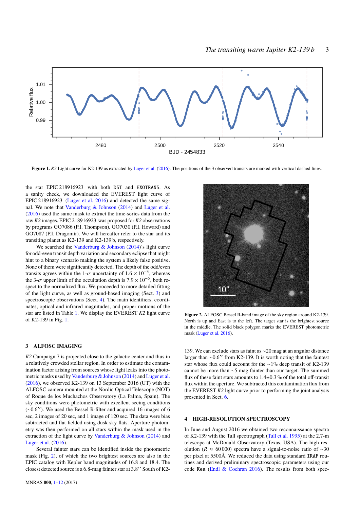

Figure 1. K2 Light curve for K2-139 as extracted by [Luger et al.](#page-11-7) [\(2016\)](#page-11-7). The positions of the 3 observed transits are marked with vertical dashed lines.

the star EPIC 218916923 with both DST and EXOTRANS. As a sanity check, we downloaded the EVEREST light curve of EPIC 218916923 [\(Luger et al.](#page-11-7) [2016\)](#page-11-7) and detected the same signal. We note that [Vanderburg & Johnson](#page-11-6) [\(2014\)](#page-11-6) and [Luger et al.](#page-11-7) [\(2016\)](#page-11-7) used the same mask to extract the time-series data from the raw *K2* images. EPIC 218916923 was proposed for *K2* observations by programs GO7086 (P.I. Thompson), GO7030 (P.I. Howard) and GO7087 (P.I. Dragomir). We will hereafter refer to the star and its transiting planet as K2-139 and K2-139 b, respectively.

We searched the Vanderburg  $&$  Johnson [\(2014\)](#page-11-6)'s light curve for odd-even transit depth variation and secondary eclipse that might hint to a binary scenario making the system a likely false positive. None of them were significantly detected. The depth of the odd/even transits agrees within the 1- $\sigma$  uncertainty of  $1.6 \times 10^{-3}$ , whereas the 3- $\sigma$  upper limit of the occultation depth is  $7.9 \times 10^{-5}$ , both respect to the normalized flux. We proceeded to more detailed fitting spect to the normalized flux. We proceeded to more detailed fitting of the light curve, as well as ground-based imaging (Sect. [3\)](#page-2-0) and spectroscopic observations (Sect. [4\)](#page-2-1). The main identifiers, coordinates, optical and infrared magnitudes, and proper motions of the star are listed in Table [1.](#page-1-3) We display the EVEREST *K2* light curve of K2-139 in Fig. [1.](#page-2-2)

# <span id="page-2-0"></span>**3 ALFOSC IMAGING**

*K2* Campaign 7 is projected close to the galactic center and thus in a relatively crowded stellar region. In order to estimate the contamination factor arising from sources whose light leaks into the photometric masks used by [Vanderburg & Johnson](#page-11-6) [\(2014\)](#page-11-6) and [Luger et al.](#page-11-7) [\(2016\)](#page-11-7), we observed K2-139 on 13 September 2016 (UT) with the ALFOSC camera mounted at the Nordic Optical Telescope (NOT) of Roque de los Muchachos Observatory (La Palma, Spain). The sky conditions were photometric with excellent seeing conditions  $(\sim 0.6)$ <sup>'</sup>). We used the Bessel R-filter and acquired 16 images of 6 sec, 2 images of 20 sec, and 1 image of 120 sec. The data were bias subtracted and flat-fielded using dusk sky flats. Aperture photometry was then performed on all stars within the mask used in the extraction of the light curve by [Vanderburg & Johnson](#page-11-6) [\(2014\)](#page-11-6) and [Luger et al.](#page-11-7) [\(2016\)](#page-11-7).

Several fainter stars can be identified inside the photometric mask (Fig. [2\)](#page-2-3), of which the two brightest sources are also in the EPIC catalog with Kepler band magnitudes of <sup>16</sup>.<sup>8</sup> and <sup>18</sup>.4. The closest detected source is a 6.8-mag fainter star at 3.8" South of K2-

<span id="page-2-2"></span>

<span id="page-2-3"></span>**Figure 2.** ALFOSC Bessel R-band image of the sky region around K2-139. North is up and East is to the left. The target star is the brightest source in the middle. The solid black polygon marks the EVEREST photometric mask [\(Luger et al.](#page-11-7) [2016\)](#page-11-7).

139. We can exclude stars as faint as ∼20 mag at an angular distance larger than  $\sim 0.6$ <sup>"</sup> from K2-139. It is worth noting that the faintest star whose flux could account for the ∼1% deep transit of K2-139 cannot be more than ∼5 mag fainter than our target. The summed flux of these faint stars amounts to  $1.4\pm0.3$  % of the total off-transit flux within the aperture. We subtracted this contamination flux from the EVEREST *K2* light curve prior to performing the joint analysis presented in Sect. [6.](#page-5-0)

### <span id="page-2-1"></span>**4 HIGH-RESOLUTION SPECTROSCOPY**

In June and August 2016 we obtained two reconnaissance spectra of K2-139 with the Tull spectrograph [\(Tull et al.](#page-11-8) [1995\)](#page-11-8) at the 2.7-m telescope at McDonald Observatory (Texas, USA). The high resolution (*R* ≈ 60 000) spectra have a signal-to-noise ratio of ∼30 per pixel at 5500Å. We reduced the data using standard IRAF routines and derived preliminary spectroscopic parameters using our code Kea [\(Endl & Cochran](#page-9-25) [2016\)](#page-9-25). The results from both spec-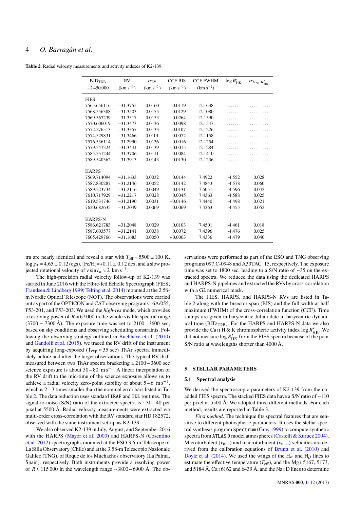# 4 *O. Barragán et al.*

<span id="page-3-0"></span>**Table 2.** Radial velocity measurements and activity indexes of K2-139.

| $(km s^{-1})$<br>$(km s^{-1})$<br>$(km s^{-1})$<br>$(km s^{-1})$<br>$-2450000$<br><b>FIES</b><br>7565.656116<br>$-31.3755$<br>0.0160<br>0.0119<br>12.1638<br>7568.556388<br>$-31.3503$<br>0.0155<br>0.0129<br>12.1080<br>7569.567239<br>$-31.3317$<br>0.0153<br>0.0264<br>12.1590<br>7570.606019<br>$-31.3473$<br>0.0136<br>0.0098<br>12.1547<br>7572.576513<br>$-31.3357$<br>0.0133<br>0.0107<br>12.1226<br>0.0101<br>7574.529831<br>$-31.3466$<br>0.0072<br>12.1158<br>7576.536114<br>$-31.2990$<br>0.0136<br>0.0016<br>12.1254<br>7579.547224<br>$-31.3441$<br>0.0139<br>12.1284<br>$-0.0015$<br>7585.551244<br>$-31.3706$<br>0.0111<br>0.0084<br>12.1410<br>7589.540362<br>$-31.3913$<br>0.0143<br>0.0130<br>12.1236 | BJD <sub>TDB</sub> | <b>RV</b> | $\sigma_{\rm RV}$ | <b>CCF BIS</b> | <b>CCF FWHM</b> | $\log R'_{\rm HK}$ | $\sigma_{log\,R'_{\rm HK}}$ |
|--------------------------------------------------------------------------------------------------------------------------------------------------------------------------------------------------------------------------------------------------------------------------------------------------------------------------------------------------------------------------------------------------------------------------------------------------------------------------------------------------------------------------------------------------------------------------------------------------------------------------------------------------------------------------------------------------------------------------|--------------------|-----------|-------------------|----------------|-----------------|--------------------|-----------------------------|
|                                                                                                                                                                                                                                                                                                                                                                                                                                                                                                                                                                                                                                                                                                                          |                    |           |                   |                |                 |                    |                             |
|                                                                                                                                                                                                                                                                                                                                                                                                                                                                                                                                                                                                                                                                                                                          |                    |           |                   |                |                 |                    |                             |
|                                                                                                                                                                                                                                                                                                                                                                                                                                                                                                                                                                                                                                                                                                                          |                    |           |                   |                |                 |                    |                             |
|                                                                                                                                                                                                                                                                                                                                                                                                                                                                                                                                                                                                                                                                                                                          |                    |           |                   |                |                 |                    |                             |
|                                                                                                                                                                                                                                                                                                                                                                                                                                                                                                                                                                                                                                                                                                                          |                    |           |                   |                |                 |                    |                             |
|                                                                                                                                                                                                                                                                                                                                                                                                                                                                                                                                                                                                                                                                                                                          |                    |           |                   |                |                 |                    |                             |
|                                                                                                                                                                                                                                                                                                                                                                                                                                                                                                                                                                                                                                                                                                                          |                    |           |                   |                |                 |                    |                             |
|                                                                                                                                                                                                                                                                                                                                                                                                                                                                                                                                                                                                                                                                                                                          |                    |           |                   |                |                 |                    |                             |
|                                                                                                                                                                                                                                                                                                                                                                                                                                                                                                                                                                                                                                                                                                                          |                    |           |                   |                |                 |                    |                             |
|                                                                                                                                                                                                                                                                                                                                                                                                                                                                                                                                                                                                                                                                                                                          |                    |           |                   |                |                 |                    |                             |
|                                                                                                                                                                                                                                                                                                                                                                                                                                                                                                                                                                                                                                                                                                                          |                    |           |                   |                |                 |                    |                             |
|                                                                                                                                                                                                                                                                                                                                                                                                                                                                                                                                                                                                                                                                                                                          |                    |           |                   |                |                 |                    |                             |
|                                                                                                                                                                                                                                                                                                                                                                                                                                                                                                                                                                                                                                                                                                                          |                    |           |                   |                |                 |                    |                             |
| <b>HARPS</b>                                                                                                                                                                                                                                                                                                                                                                                                                                                                                                                                                                                                                                                                                                             |                    |           |                   |                |                 |                    |                             |
| 7569.714094<br>$-31.1633$<br>0.0032<br>0.0144<br>7.4922<br>$-4.552$<br>0.028                                                                                                                                                                                                                                                                                                                                                                                                                                                                                                                                                                                                                                             |                    |           |                   |                |                 |                    |                             |
| 7587.830287<br>$-31.2146$<br>0.0052<br>0.0142<br>7.4843<br>0.060<br>$-4.578$                                                                                                                                                                                                                                                                                                                                                                                                                                                                                                                                                                                                                                             |                    |           |                   |                |                 |                    |                             |
| 7589.523734<br>$-31.2116$<br>0.0049<br>0.0131<br>7.5051<br>$-4.596$<br>0.042                                                                                                                                                                                                                                                                                                                                                                                                                                                                                                                                                                                                                                             |                    |           |                   |                |                 |                    |                             |
| 7610.717929<br>$-31.2217$<br>0.0028<br>0.0045<br>7.4363<br>0.025<br>$-4.588$                                                                                                                                                                                                                                                                                                                                                                                                                                                                                                                                                                                                                                             |                    |           |                   |                |                 |                    |                             |
| 7619.531746<br>$-31.2190$<br>0.0031<br>$-0.0146$<br>7.4440<br>$-4.498$<br>0.021                                                                                                                                                                                                                                                                                                                                                                                                                                                                                                                                                                                                                                          |                    |           |                   |                |                 |                    |                             |
| 7620.682635<br>$-31.2049$<br>0.0069<br>0.0069<br>7.4263<br>0.052<br>$-4.455$                                                                                                                                                                                                                                                                                                                                                                                                                                                                                                                                                                                                                                             |                    |           |                   |                |                 |                    |                             |
| <b>HARPS-N</b>                                                                                                                                                                                                                                                                                                                                                                                                                                                                                                                                                                                                                                                                                                           |                    |           |                   |                |                 |                    |                             |
| 7586.621783<br>$-31.2048$<br>0.0029<br>0.0103<br>7.4501<br>$-4.461$<br>0.018                                                                                                                                                                                                                                                                                                                                                                                                                                                                                                                                                                                                                                             |                    |           |                   |                |                 |                    |                             |
| 7587.603577<br>$-31.2141$<br>0.0038<br>0.0072<br>7.4396<br>0.025<br>$-4.476$                                                                                                                                                                                                                                                                                                                                                                                                                                                                                                                                                                                                                                             |                    |           |                   |                |                 |                    |                             |
| 7605.429766<br>0.0050<br>$-0.0003$<br>$-31.1683$<br>7.4336<br>$-4.479$<br>0.040                                                                                                                                                                                                                                                                                                                                                                                                                                                                                                                                                                                                                                          |                    |           |                   |                |                 |                    |                             |

tra are nearly identical and reveal a star with  $T_{\text{eff}} = 5500 \pm 100 \text{ K}$ ,  $\log g_{\star} = 4.65 \pm 0.12$  (cgs), [Fe/H]=+0.11  $\pm$  0.12 dex, and a slow projected rotational velocity of v sin  $i_{\star}$  ≈ 2 km s<sup>-1</sup>.<br>The high precision radial velocity follow

The high-precision radial velocity follow-up of K2-139 was started in June 2016 with the FIbre-fed Échelle Spectrograph (FIES; [Frandsen & Lindberg](#page-9-26) [1999;](#page-9-26) [Telting et al.](#page-11-9) [2014\)](#page-11-9) mounted at the 2.56 m Nordic Optical Telescope (NOT). The observations were carried out as part of the OPTICON and CAT observing programs 16A/055, P53-201, and P53-203. We used the *high-res* mode, which provides a resolving power of  $R \approx 67,000$  in the whole visible spectral range (3700 − 7300 Å). The exposure time was set to 2100 – 3600 sec, based on sky conditions and observing scheduling constraints. Following the observing strategy outlined in [Buchhave et al.](#page-9-27) [\(2010\)](#page-9-27) and [Gandolfi et al.](#page-9-28) [\(2015\)](#page-9-28), we traced the RV drift of the instrument by acquiring long-exposed ( $T_{exp} \approx 35$  sec) ThAr spectra immediately before and after the target observations. The typical RV drift measured between two ThAr spectra bracketing a 2100 – 3600 sec science exposure is about  $50 - 80$  m s<sup>-1</sup>. A linear interpolation of the RV drift to the mid-time of the science exposure allows us to achieve a radial velocity zero-point stability of about  $5-6$  m s<sup>-1</sup>. which is  $2 - 3$  times smaller than the nominal error bars listed in Table [2.](#page-3-0) The data reduction uses standard IRAF and IDL routines. The signal-to-noise (S/N) ratio of the extracted spectra is ∼30 – 40 per pixel at 5500 Å. Radial velocity measurements were extracted via multi-order cross-correlation with the RV standard star HD 182572, observed with the same instrument set-up as K2-139.

We also observed K2-139 in July, August, and September 2016 with the HARPS [\(Mayor et al.](#page-11-10) [2003\)](#page-11-10) and HARPS-N [\(Cosentino](#page-9-29) [et al.](#page-9-29) [2012\)](#page-9-29) spectrographs mounted at the ESO 3.6-m Telescope of La Silla Observatory (Chile) and at the 3.58-m Telescopio Nazionale Galileo (TNG), of Roque de los Muchachos observatory (La Palma, Spain), respectively. Both instruments provide a resolving power of *R* ≈ 115 000 in the wavelength range ∼3800 – 6900 Å. The ob-

servations were performed as part of the ESO and TNG observing programs 097.C-0948 and A33TAC\_15, respectively. The exposure time was set to 1800 sec, leading to a S/N ratio of ∼35 on the extracted spectra. We reduced the data using the dedicated HARPS and HARPS-N pipelines and extracted the RVs by cross-correlation with a G2 numerical mask.

The FIES, HARPS, and HARPS-N RVs are listed in Table [2](#page-3-0) along with the bisector span (BIS) and the full width at half maximum (FWHM) of the cross-correlation function (CCF). Time stamps are given in barycentric Julian date in barycentric dynamical time (BJD<sub>TDB</sub>). For the HARPS and HARPS-N data we also provide the Ca II H & K chromospheric activity index  $\log R'_{HK}$ . We did not measure  $\log R'_{HK}$  from the FIES spectra because of the poor S/N ratio at wavelengths shorter than 4000 Å.

#### <span id="page-3-1"></span>**5 STELLAR PARAMETERS**

#### **5.1 Spectral analysis**

We derived the spectroscopic parameters of K2-139 from the coadded FIES spectra. The stacked FIES data have a S/N ratio of ∼110 per pixel at 5500 Å. We adopted three different methods. For each method, results are reported in Table [3.](#page-4-0)

*First method*. The technique fits spectral features that are sensitive to different photospheric parameters. It uses the stellar spectral synthesis program Spectrum [\(Gray](#page-9-30) [1999\)](#page-9-30) to compute synthetic spectra from ATLAS 9 model atmospheres [\(Castelli & Kurucz](#page-9-31) [2004\)](#page-9-31). Microturbulent ( $v_{\text{mic}}$ ) and macroturbulent ( $v_{\text{mac}}$ ) velocities are derived from the calibration equations of [Bruntt et al.](#page-9-32) [\(2010\)](#page-9-32) and [Doyle et al.](#page-9-33) [\(2014\)](#page-9-33). We used the wings of the H<sub>α</sub> and H<sub>β</sub> lines to estimate the effective term argumenture  $(T_{\alpha})$  and the Maj 5167, 5173 estimate the effective temperature  $(T_{\text{eff}})$ , and the Mg I 5167, 5173, and 5184 Å, Ca i 6162 and 6439 Å, and the Na i D lines to determine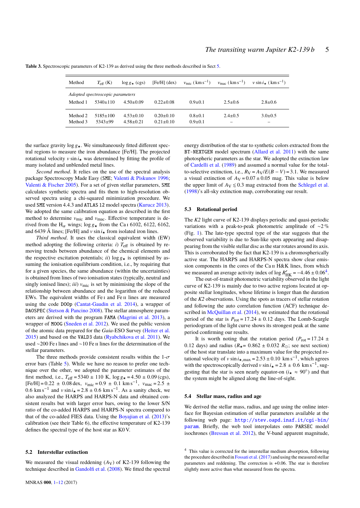| Method               | $T_{\rm eff}$ (K)                | $\log g_{\star}$ (cgs)           | $[Fe/H]$ (dex)                     | $v_{\rm mic}$ ( km s <sup>-1</sup> ) | $v_{\rm mac}$ ( km s <sup>-1</sup> )    | $v \sin i + (\text{km s}^{-1})$ |
|----------------------|----------------------------------|----------------------------------|------------------------------------|--------------------------------------|-----------------------------------------|---------------------------------|
|                      | Adopted spectroscopic parameters |                                  |                                    |                                      |                                         |                                 |
| Method 1             | $5340+110$                       | $4.50 \pm 0.09$                  | $0.22+0.08$                        | $0.9 + 0.1$                          | $2.5+0.6$                               | $2.8 \pm 0.6$                   |
| Method 2<br>Method 3 | $5185 \pm 100$<br>$5343+99$      | $4.53 \pm 0.10$<br>$4.58 + 0.21$ | $0.20 \pm 0.10$<br>$0.21 \pm 0.10$ | $0.8 + 0.1$<br>$0.9 + 0.1$           | $2.4 + 0.5$<br>$\overline{\phantom{a}}$ | $3.0+0.5$<br>-                  |

<span id="page-4-0"></span>**Table 3.** Spectroscopic parameters of K2-139 as derived using the three methods described in Sect [5.](#page-3-1)

the surface gravity  $\log g_{\star}$ . We simultaneously fitted different spectral regions to measure the iron abundance [Fe/H]. The projected rotational velocity  $v \sin i_{\star}$  was determined by fitting the profile of many isolated and unblended metal lines.

*Second method*. It relies on the use of the spectral analysis package Spectroscopy Made Easy (SME; [Valenti & Piskunov](#page-11-11) [1996;](#page-11-11) [Valenti & Fischer](#page-11-12) [2005\)](#page-11-12). For a set of given stellar parameters, SME calculates synthetic spectra and fits them to high-resolution observed spectra using a chi-squared minimization procedure. We used SME version 4.4.3 and ATLAS 12 model spectra [\(Kurucz](#page-11-13) [2013\)](#page-11-13). We adopted the same calibration equation as described in the first method to determine  $v_{\text{mic}}$  and  $v_{\text{mac}}$ . Effective temperature is derived from the H<sub>α</sub> wings;  $\log g_{\star}$  from the Ca<sub>I</sub> 6102, 6122, 6162, and 6439  $\hat{\delta}$  lines: [Fe/H] and using from isolated iron lines and 6439 Å lines; [Fe/H] and  $v \sin i_{\star}$  from isolated iron lines.

*Third method*. It uses the classical equivalent width (EW) method adopting the following criteria: *i*)  $T_{\text{eff}}$  is obtained by removing trends between abundance of the chemical elements and the respective excitation potentials; *ii*)  $\log g_{\star}$  is optimised by assuming the ionisation equilibrium condition, i.e., by requiring that for a given species, the same abundance (within the uncertainties) is obtained from lines of two ionisation states (typically, neutral and singly ionised lines); *iii*)  $v_{\text{mic}}$  is set by minimising the slope of the relationship between abundance and the logarithm of the reduced EWs. The equivalent widths of Fe<sub>I</sub> and Fe<sub>II</sub> lines are measured using the code DOOp [\(Cantat-Gaudin et al.](#page-9-34) [2014\)](#page-9-34), a wrapper of DAOSPEC [\(Stetson & Pancino](#page-11-14) [2008\)](#page-11-14). The stellar atmosphere parameters are derived with the program FAMA [\(Magrini et al.](#page-11-15) [2013\)](#page-11-15), a wrapper of MOOG [\(Sneden et al.](#page-11-16) [2012\)](#page-11-16). We used the public version of the atomic data prepared for the *Gaia*-ESO Survey [\(Heiter et al.](#page-9-35) [2015\)](#page-9-35) and based on the VALD3 data [\(Ryabchikova et al.](#page-11-17) [2011\)](#page-11-17). We used ∼200 Fe i lines and ∼10 Fe ii lines for the determination of the stellar parameters.

The three methods provide consistent results within the  $1-\sigma$ error bars (Table [5\)](#page-10-0). While we have no reason to prefer one technique over the other, we adopted the parameter estimates of the first method, i.e.,  $T_{\text{eff}} = 5340 \pm 110 \text{ K}$ ,  $\log g_{\star} = 4.50 \pm 0.09 \text{ (cgs)}$ ,  $[Fe/H] = 0.22 \pm 0.08$  dex,  $v_{\text{mic}} = 0.9 \pm 0.1$  km s<sup>-1</sup>,  $v_{\text{mac}} = 2.5 \pm 0.6$  km s<sup>-1</sup> and y sin i. - 2.8 + 0.6 km s<sup>-1</sup>. As a sanity check, we 0.6 km s<sup>-1</sup> and v sin  $i<sub>x</sub> = 2.8 \pm 0.6$  km s<sup>-1</sup>. As a sanity check, we also analyzed the HARPS and HARPS N data and obtained conalso analyzed the HARPS and HARPS-N data and obtained consistent results but with larger error bars, owing to the lower S/N ratio of the co-added HARPS and HARPS-N spectra compared to that of the co-added FIES data. Using the [Boyajian et al.](#page-9-36) [\(2013\)](#page-9-36)'s calibration (see their Table 6), the effective temperature of K2-139 defines the spectral type of the host star as K0 V.

## <span id="page-4-2"></span>**5.2 Interstellar extinction**

We measured the visual reddening  $(A_V)$  of K2-139 following the technique described in [Gandolfi et al.](#page-9-37) [\(2008\)](#page-9-37). We fitted the spectral

energy distribution of the star to synthetic colors extracted from the BT-NEXTGEN model spectrum [\(Allard et al.](#page-9-38) [2011\)](#page-9-38) with the same photospheric parameters as the star. We adopted the extinction law of [Cardelli et al.](#page-9-39) [\(1989\)](#page-9-39) and assumed a normal value for the totalto-selective extinction, i.e.,  $R_V = A_V / E(B - V) = 3.1$ . We measured a visual extinction of  $A_V = 0.07 \pm 0.05$  mag. This value is below the upper limit of  $A_V \le 0.3$  mag extracted from the [Schlegel et al.](#page-11-18) [\(1998\)](#page-11-18)'s all-sky extinction map, corroborating our result.

#### <span id="page-4-3"></span>**5.3 Rotational period**

The *K2* light curve of K2-139 displays periodic and quasi-periodic variations with a peak-to-peak photometric amplitude of ∼2 % (Fig. [1\)](#page-2-2). The late-type spectral type of the star suggests that the observed variability is due to Sun-like spots appearing and disappearing from the visible stellar disc as the star rotates around its axis. This is corroborated by the fact that K2-139 is a chromospherically active star. The HARPS and HARPS-N spectra show clear emission components in the cores of the Ca II H&K lines, from which we measured an average activity index of  $\log R'_{HK} = -4.46 \pm 0.064$  $\log R'_{HK} = -4.46 \pm 0.064$  $\log R'_{HK} = -4.46 \pm 0.064$ .<br>The out-of-transit photometric variability observed in the light

The out-of-transit photometric variability observed in the light curve of K2-139 is mainly due to two active regions located at opposite stellar longitudes, whose lifetime is longer than the duration of the *K2* observations. Using the spots as tracers of stellar rotation and following the auto correlation function (ACF) technique de-scribed in [McQuillan et al.](#page-11-19) [\(2014\)](#page-11-19), we estimated that the rotational period of the star is  $P_{\text{rot}} = 17.24 \pm 0.12$  days. The Lomb-Scargle periodogram of the light curve shows its strongest peak at the same period confirming our results.

It is worth noting that the rotation period ( $P_{\text{rot}} = 17.24 \pm 10^{-10}$ 0.12 days) and radius ( $R_{\star}$  = 0.862  $\pm$  0.032  $R_{\odot}$ ; see next section) of the host star translate into a maximum value for the projected rotational velocity of v sin  $i_{\star, \text{max}} = 2.53 \pm 0.10 \text{ km s}^{-1}$ , which agrees with the spectroscopically derived v sin  $i_{\star} = 2.8 \pm 0.6 \text{ km s}^{-1}$ , sug-<br>gesting that the star is seen nearly equator on  $(i_{\star} \approx 90^{\circ})$  and that gesting that the star is seen nearly equator-on  $(i_{\star} \approx 90^{\circ})$  and that the system might be aligned along the line of sight the system might be aligned along the line-of-sight.

#### **5.4 Stellar mass, radius and age**

We derived the stellar mass, radius, and age using the online interface for Bayesian estimation of stellar parameters available at the following web page: [http://stev.oapd.inaf.it/cgi-bin/](http://stev.oapd.inaf.it/cgi-bin/param) [param](http://stev.oapd.inaf.it/cgi-bin/param). Briefly, the web tool interpolates onto PARSEC model isochrones [\(Bressan et al.](#page-9-40) [2012\)](#page-9-40), the V-band apparent magnitude,

<span id="page-4-1"></span><sup>4</sup> This value is corrected for the interstellar medium absorption, following the procedure described in [Fossati et al.\(2017\)](#page-9-41) and using the measured stellar parameters and reddening. The correction is +0.06. The star is therefore slightly more active than what measured from the spectra.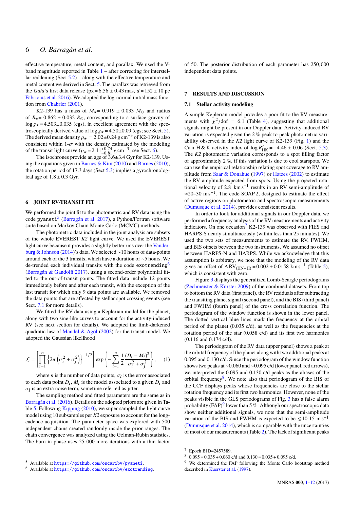effective temperature, metal content, and parallax. We used the Vband magnitude reported in Table [1](#page-1-3) – after correcting for interstellar reddening (Sect  $5.2$ ) – along with the effective temperature and metal content we derived in Sect. [5.](#page-3-1) The parallax was retrieved from the *Gaia*'s first data release ( $px = 6.56 \pm 0.43$  mas,  $d = 152 \pm 10$  pc [Fabricius et al.](#page-9-12) [2016\)](#page-9-12). We adopted the log-normal initial mass function from [Chabrier](#page-9-42) [\(2001\)](#page-9-42).

K2-139 has a mass of  $M_{\star}$  = 0.919  $\pm$  0.033  $M_{\odot}$  and radius of  $R_{\star}$  = 0.862  $\pm$  0.032  $R_{\odot}$ , corresponding to a surface gravity of  $\log g_{\star}$  = 4.503±0.035 (cgs), in excellent agreement with the spectroscopically derived value of  $\log g_{\star} = 4.50 \pm 0.09$  (cgs; see Sect. [5\)](#page-3-1). The derived mean density  $\rho_{\star} = 2.02 \pm 0.24$  g cm<sup>-3</sup> of K2-139 is also consistent within  $1-\sigma$  with the density estimated by the modeling<br>of the transit light curve  $(a_1 - 2.11 + 0.74 \text{ g cm}^{-3} \cdot \text{see Sect. 6})$ of the transit light curve  $(\rho_{\star} = 2.11^{+0.74}_{-0.81}$  g cm<sup>-3</sup>; see Sect. [6\)](#page-5-0).<br>The isochrones provide an age of 3.6±3.4 Gyr for K2-139

The isochrones provide an age of  $3.6\pm3.4$  Gyr for K2-139. Using the equations given in [Barnes & Kim](#page-9-43) [\(2010\)](#page-9-43) and [Barnes](#page-9-44) [\(2010\)](#page-9-44), the rotation period of 17.3 days (Sect [5.3\)](#page-4-3) implies a gyrochronological age of  $1.8 \pm 0.3$  Gyr.

### <span id="page-5-0"></span>**6 JOINT RV-TRANSIT FIT**

We performed the joint fit to the photometric and RV data using the code pyaneti<sup>[5](#page-5-1)</sup> [\(Barragán et al.](#page-9-45) [2017\)](#page-9-45), a Python/Fortran software suite based on Markov Chain Monte Carlo (MCMC) methods.

The photometric data included in the joint analysis are subsets of the whole EVEREST *K2* light curve. We used the EVEREST light curve because it provides a slightly better rms over the [Vander](#page-11-6)[burg & Johnson](#page-11-6) [\(2014\)](#page-11-6)'s data. We selected ∼10 hours of data-points around each of the 3 transits, which have a duration of ∼5 hours. We de-trended each individual transits with the code exotrending<sup>[6](#page-5-2)</sup> [\(Barragán & Gandolfi](#page-9-46) [2017\)](#page-9-46), using a second-order polynomial fitted to the out-of-transit points. The fitted data include 12 points immediately before and after each transit, with the exception of the last transit for which only 9 data points are available. We removed the data points that are affected by stellar spot crossing events (see Sect. [7.1](#page-5-3) for more details).

We fitted the RV data using a Keplerian model for the planet, along with two sine-like curves to account for the activity-induced RV (see next section for details). We adopted the limb-darkened quadratic law of [Mandel & Agol](#page-11-20) [\(2002\)](#page-11-20) for the transit model. We adopted the Gaussian likelihood

$$
\mathcal{L} = \left[ \prod_{i=1}^{n} \left\{ 2\pi \left( \sigma_i^2 + \sigma_j^2 \right) \right\}^{-1/2} \right] \exp \left\{ - \sum_{i=1}^{n} \frac{1}{2} \frac{(D_i - M_i)^2}{\sigma_i^2 + \sigma_j^2} \right\}, \quad (1)
$$

where *n* is the number of data points,  $\sigma_i$  is the error associated<br>ch data point  $D_i$ . M, is the model associated to a given  $D_i$  and to each data point  $D_i$ ,  $M_i$  is the model associated to a given  $D_i$  and  $\sigma_j$  is an extra noise term, sometime referred as jitter.<br>The sampling method and fitted parameters are

The sampling method and fitted parameters are the same as in [Barragán et al.](#page-9-47) [\(2016\)](#page-9-47). Details on the adopted priors are given in Table [5.](#page-10-0) Following [Kipping](#page-9-48) [\(2010\)](#page-9-48), we super-sampled the light curve model using 10 subsamples per *K2* exposure to account for the longcadence acquisition. The parameter space was explored with 500 independent chains created randomly inside the prior ranges. The chain convergence was analyzed using the Gelman-Rubin statistics. The burn-in phase uses <sup>25</sup>, <sup>000</sup> more iterations with a thin factor

of 50. The posterior distribution of each parameter has <sup>250</sup>, <sup>000</sup> independent data points.

#### **7 RESULTS AND DISCUSSION**

#### <span id="page-5-3"></span>**7.1 Stellar activity modeling**

A simple Keplerian model provides a poor fit to the RV measurements with  $\chi^2$ /dof = 6.1 (Table [4\)](#page-7-0), suggesting that additional<br>signals might be present in our Doppler data. Activity induced BV signals might be present in our Doppler data. Activity-induced RV variation is expected given the 2 % peak-to-peak photometric variability observed in the *K2* light curve of K2-139 (Fig. [1\)](#page-2-2) and the Ca II H & K activity index of  $\log R'_{HK} = -4.46 \pm 0.06$  (Sect. [5.3\)](#page-4-3).<br>The K2 photometric variation corresponds to a spot filling factor The *K2* photometric variation corresponds to a spot filling factor of approximately  $2\%$ , if this variation is due to cool starspots. We can use the empirical relationship relating spot coverage to RV amplitude from [Saar & Donahue](#page-11-21) [\(1997\)](#page-11-21) or [Hatzes](#page-9-49) [\(2002\)](#page-9-49) to estimate the RV amplitude expected from spots. Using the projected rotational velocity of 2.8  $\rm km\,s^{-1}$  results in an RV semi-amplitude of  $\approx$ 20–30 m s<sup>-1</sup>. The code SOAP 2, designed to estimate the effect of active regions on photometric and spectroscopic measurements [\(Dumusque et al.](#page-9-50) [2014\)](#page-9-50), provides consistent results.

In order to look for additional signals in our Doppler data, we performed a frequency analysis of the RV measurements and activity indicators. On one occasion<sup>[7](#page-5-4)</sup> K2-139 was observed with FIES and HARPS-S nearly simultaneously (within less than 25 minutes). We used the two sets of measurements to estimate the RV, FWHM, and BIS offsets between the two instruments. We assumed no offset between HARPS-N and HARPS. While we acknowledge that this assumption is arbitrary, we note that the modeling of the RV data gives an offset of  $\Delta \text{RV}_{(\text{HN-H})} = 0.002 \pm 0.0158 \text{ km s}^{-1}$  (Table [5\)](#page-10-0), which is consistent with zero.

Figure [3](#page-6-0) displays the generalized Lomb-Scargle periodograms [\(Zechmeister & Kürster](#page-11-22) [2009\)](#page-11-22) of the combined datasets. From top to bottom the RV data (first panel), the RV residuals after subtracting the transiting planet signal (second panel), and the BIS (third panel) and FWHM (fourth panel) of the cross correlation function. The periodogram of the window function is shown in the lower panel. The dotted vertical blue lines mark the frequency at the orbital period of the planet (0.035 c/d), as well as the frequencies at the rotation period of the star (0.058 c/d) and its first two harmonics (0.116 and 0.174 c/d).

The periodogram of the RV data (upper panel) shows a peak at the orbital frequency of the planet along with two additional peaks at 0.095 and 0.130 c/d. Since the periodogram of the window function shows two peaks at ∼0.060 and ∼0.095 c/d (lower panel, red arrows), we interpreted the 0.095 and 0.130 c/d peaks as the aliases of the orbital frequency<sup>[8](#page-5-5)</sup>. We note also that periodogram of the BIS of the CCF displays peaks whose frequencies are close to the stellar rotation frequency and its first two harmonics. However, none of the peaks visible in the GLS periodograms of Fig. [3](#page-6-0) has a false alarm probability (FAP)<sup>[9](#page-5-6)</sup> lower than 5 %. Although our spectroscopic data show neither additional signals, we note that the semi-amplitude variation of the BIS and FWHM is expected to be  $\leq 10$ -15 m s<sup>-1</sup> [\(Dumusque et al.](#page-9-50) [2014\)](#page-9-50), which is comparable with the uncertainties of most of our measurements (Table [2\)](#page-3-0). The lack of significant peaks

<span id="page-5-4"></span><sup>7</sup> Epoch BJD=2457589.

<span id="page-5-5"></span> $8\quad 0.095 = 0.035 + 0.060$  c/d and  $0.130 = 0.035 + 0.095$  c/d.

<span id="page-5-6"></span><sup>9</sup> We determined the FAP following the Monte Carlo bootstrap method described in [Kuerster et al.](#page-11-23) [\(1997\)](#page-11-23).

<span id="page-5-2"></span><span id="page-5-1"></span><sup>6</sup> Available at <https://github.com/oscaribv/exotrending>.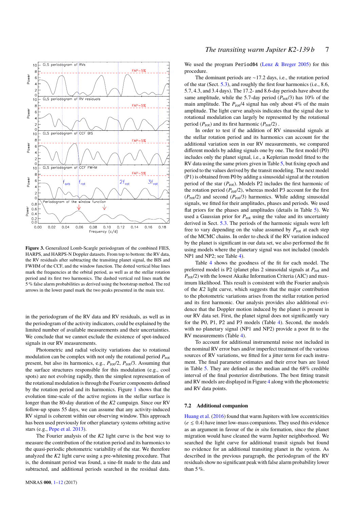

<span id="page-6-0"></span>**Figure 3.** Generalized Lomb-Scargle periodogram of the combined FIES, HARPS, and HARPS-N Doppler datasets. From top to bottom: the RV data, the RV residuals after subtracting the transiting planet signal, the BIS and FWHM of the CCF, and the window function. The dotted vertical blue lines mark the frequencies at the orbital period, as well as at the stellar rotation period and its first two harmonics. The dashed vertical red lines mark the 5 % false alarm probabilities as derived using the bootstrap method. The red arrows in the lower panel mark the two peaks presented in the main text.

in the periodogram of the RV data and RV residuals, as well as in the periodogram of the activity indicators, could be explained by the limited number of available measurements and their uncertainties. We conclude that we cannot exclude the existence of spot-induced signals in our RV measurements.

Photometric and radial velocity variations due to rotational modulation can be complex with not only the rotational period *P*rot present, but also its harmonics, e.g., *P*rot/2, *P*rot/3. Assuming that the surface structures responsible for this modulation (e.g., cool spots) are not evolving rapidly, then the simplest representation of the rotational modulation is through the Fourier components defined by the rotation period and its harmonics. Figure [1](#page-2-2) shows that the evolution time-scale of the active regions in the stellar surface is longer than the 80-day duration of the *K2* campaign. Since our RV follow-up spans 55 days, we can assume that any activity-induced RV signal is coherent within our observing window. This approach has been used previously for other planetary systems orbiting active stars (e.g., [Pepe et al.](#page-11-24) [2013\)](#page-11-24).

The Fourier analysis of the *K2* light curve is the best way to measure the contribution of the rotation period and its harmonics to the quasi-periodic photometric variability of the star. We therefore analyzed the *K2* light curve using a pre-whitening procedure. That is, the dominant period was found, a sine-fit made to the data and subtracted, and additional periods searched in the residual data.

We used the program Period04 (Lenz  $&$  Breger [2005\)](#page-11-25) for this procedure.

The dominant periods are ∼17.2 days, i.e., the rotation period of the star (Sect. [5.3\)](#page-4-3), and roughly the first four harmonics (i.e., 8.6, 5.7, 4.3, and 3.4 days). The 17.2- and 8.6-day periods have about the same amplitude, while the 5.7-day period  $(P_{rot}/3)$  has 10% of the main amplitude. The  $P_{rot}/4$  signal has only about 4% of the main amplitude. The light curve analysis indicates that the signal due to rotational modulation can largely be represented by the rotational period (*P*rot) and its first harmonic (*P*rot/2) .

In order to test if the addition of RV sinusoidal signals at the stellar rotation period and its harmonics can account for the additional variation seen in our RV measurements, we compared different models by adding signals one by one. The first model (P0) includes only the planet signal, i.e., a Keplerian model fitted to the RV data using the same priors given in Table [5,](#page-10-0) but fixing epoch and period to the values derived by the transit modeling. The next model (P1) is obtained from P0 by adding a sinusoidal signal at the rotation period of the star  $(P_{\text{rot}})$ . Models P2 includes the first harmonic of the rotation period  $(P_{\text{rot}}/2)$ , whereas model P3 account for the first  $(P_{\text{rot}}/2)$  and second  $(P_{\text{rot}}/3)$  harmonics. While adding sinusoidal signals, we fitted for their amplitudes, phases and periods. We used flat priors for the phases and amplitudes (details in Table [5\)](#page-10-0). We used a Gaussian prior for *P*rot using the value and its uncertainty derived in Sect. [5.3.](#page-4-3) The periods of the harmonic signals were left free to vary depending on the value assumed by  $P_{\text{rot}}$  at each step of the MCMC chains. In order to check if the RV variation induced by the planet is significant in our data set, we also performed the fit using models where the planetary signal was not included (models NP1 and NP2; see Table [4\)](#page-7-0).

Table [4](#page-7-0) shows the goodness of the fit for each model. The preferred model is P2 (planet plus 2 sinusoidal signals at *P*rot and *P*rot/2) with the lowest Akaike Information Criteria (AIC) and maximum likelihood. This result is consistent with the Fourier analysis of the *K2* light curve, which suggests that the major contribution to the photometric variations arises from the stellar rotation period and its first harmonic. Our analysis provides also additional evidence that the Doppler motion induced by the planet is present in our RV data set. First, the planet signal does not significantly vary for the P0, P1, P2 and P3 models (Table [4\)](#page-7-0). Second, the models with no planetary signal (NP1 and NP2) provide a poor fit to the RV measurements (Table [4\)](#page-7-0).

To account for additional instrumental noise not included in the nominal RV error bars and/or imperfect treatment of the various sources of RV variations, we fitted for a jitter term for each instrument. The final parameter estimates and their error bars are listed in Table [5.](#page-10-0) They are defined as the median and the 68% credible interval of the final posterior distributions. The best fitting transit and RV models are displayed in Figure [4](#page-7-1) along with the photometric and RV data points.

#### **7.2 Additional companion**

[Huang et al.](#page-9-4) [\(2016\)](#page-9-4) found that warm Jupiters with low eccentricities  $(e \le 0.4)$  have inner low-mass companions. They used this evidence as an argument in favour of the *in situ* formation, since the planet migration would have cleaned the warm Jupiter neighborhood. We searched the light curve for additional transit signals but found no evidence for an additional transiting planet in the system. As described in the previous paragraph, the periodogram of the RV residuals show no significant peak with false alarm probability lower than  $5\%$ .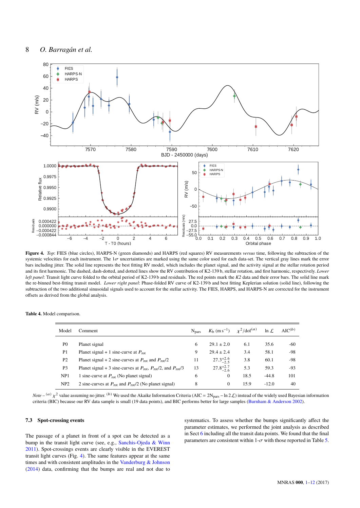

**Figure 4.** *Top*: FIES (blue circles), HARPS-N (green diamonds) and HARPS (red squares) RV measurements *versus* time, following the subtraction of the systemic velocities for each instrument. The  $1\sigma$  uncertainties are marked using the same color used for each data-set. The vertical gray lines mark the error bars including jitter. The solid line represents the best fitting RV model, which includes the planet signal, and the activity signal at the stellar rotation period and its first harmonic. The dashed, dash-dotted, and dotted lines show the RV contribution of K2-139 b, stellar rotation, and first harmonic, respectively. *Lower left panel*: Transit light curve folded to the orbital period of K2-139 b and residuals. The red points mark the *K2* data and their error bars. The solid line mark the re-binned best-fitting transit model. *Lower right panel*: Phase-folded RV curve of K2-139 b and best fitting Keplerian solution (solid line), following the subtraction of the two additional sinusoidal signals used to account for the stellar activity. The FIES, HARPS, and HARPS-N are corrected for the instrument offsets as derived from the global analysis.

<span id="page-7-0"></span>

|  |  | Table 4. Model comparison. |
|--|--|----------------------------|
|--|--|----------------------------|

| Model           | Comment                                                                                         | N <sub>pars</sub> | $K_{\rm b}$ (m s <sup>-1</sup> ) $\chi^2$ /dof <sup>(<i>a</i>)</sup> |      | $\ln \mathcal{L}$ | $AIC^{(b)}$ |
|-----------------|-------------------------------------------------------------------------------------------------|-------------------|----------------------------------------------------------------------|------|-------------------|-------------|
| P <sub>0</sub>  | Planet signal                                                                                   | 6                 | $29.1 \pm 2.0$                                                       | 6.1  | 35.6              | -60         |
| P <sub>1</sub>  | Planet signal + 1 sine-curve at $P_{\text{rot}}$                                                | 9                 | $29.4 \pm 2.4$                                                       | 3.4  | 58.1              | -98         |
| P <sub>2</sub>  | Planet signal + 2 sine-curves at $P_{\text{rot}}$ and $P_{\text{rot}}/2$                        | 11                | $27.3^{+2.6}_{-2.5}$                                                 | 3.8  | 60.1              | -98         |
| P <sub>3</sub>  | Planet signal + 3 sine-curves at $P_{\text{rot}}$ , $P_{\text{rot}}/2$ , and $P_{\text{rot}}/3$ | 13                | $27.8^{+2.7}_{-2.6}$                                                 | 5.3  | 59.3              | -93         |
| NP1             | 1 sine-curve at $P_{\text{rot}}$ (No planet signal)                                             | 6                 | $\mathbf{0}$                                                         | 18.5 | $-44.8$           | 101         |
| NP <sub>2</sub> | 2 sine-curves at $P_{\text{rot}}$ and $P_{\text{rot}}/2$ (No planet signal)                     | 8                 | $\Omega$                                                             | 15.9 | $-12.0$           | 40          |

*Note* – <sup>(a)</sup>  $\chi^2$  value assuming no jitter. <sup>(b)</sup> We used the Akaike Information Criteria (AIC = 2N<sub>pars</sub> – ln 2 L) instead of the widely used Bayesian information χ criteria (BIC) because our RV data sample is small (19 data points), and BIC performs better for large samples [\(Burnham & Anderson](#page-9-51) [2002\)](#page-9-51).

## **7.3 Spot-crossing events**

The passage of a planet in front of a spot can be detected as a bump in the transit light curve (see, e.g., [Sanchis-Ojeda & Winn](#page-11-26) [2011\)](#page-11-26). Spot-crossings events are clearly visible in the EVEREST transit light curves (Fig. [4\)](#page-7-1). The same features appear at the same times and with consistent amplitudes in the [Vanderburg & Johnson](#page-11-6) [\(2014\)](#page-11-6) data, confirming that the bumps are real and not due to <span id="page-7-1"></span>systematics. To assess whether the bumps significantly affect the parameter estimates, we performed the joint analysis as described in Sect [6](#page-5-0) including all the transit data points. We found that the final parameters are consistent within  $1-\sigma$  with those reported in Table [5.](#page-10-0)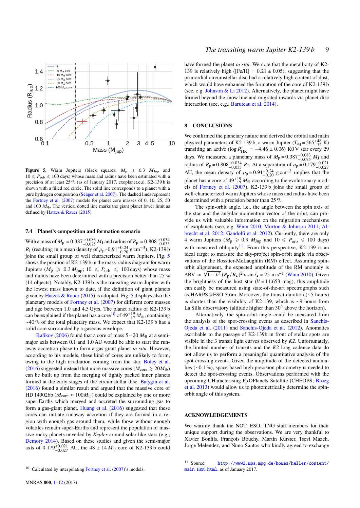

<span id="page-8-0"></span>**Figure 5.** Warm Jupiters (black squares;  $M_p \geq 0.3$   $M_{Jup}$  and  $10 \leq P_{\text{orb}} \leq 100$  days) whose mass and radius have been estimated with a precision of at least 25 % (as of January 2017, exoplanet.eu). K2-139 b is shown with a filled red circle. The solid line corresponds to a planet with a pure hydrogen composition [\(Seager et al.](#page-11-27) [2007\)](#page-11-27). The dashed lines represent the [Fortney et al.](#page-9-52) [\(2007\)](#page-9-52) models for planet core masses of 0, 10, 25, 50 and 100  $M_{\oplus}$ . The vertical dotted line marks the giant planet lower limit as defined by [Hatzes & Rauer](#page-9-0) [\(2015\)](#page-9-0).

#### **7.4 Planet's composition and formation scenario**

With a mass of  $M_p = 0.387_{-0.075}^{+0.083} M_J$  and radius of  $R_p = 0.808_{-0.033}^{+0.034}$ <br> $R_r$  (resulting in a mean density of  $\rho = 0.91_{-0.24}^{+0.24}$  g cm<sup>-3</sup>), K2-139b with a mass of  $M_p = 0.387_{-0.075}^{+0.075} M_J$  and radius of  $K_p = 0.808_{-0.033}^{+0.24}$ <br> $R_J$  (resulting in a mean density of  $\rho_p = 0.91_{-0.20}^{+0.24}$  g cm<sup>-3</sup>), K2-139 b<br>ioins the small group of well characterized warm Jup joins the small group of well characterized warm Jupiters. Fig. [5](#page-8-0) shows the position of K2-139 b in the mass-radius diagram for warm Jupiters ( $M_p \ge 0.3 M_{Jup}$ ; 10  $\le P_{orb} \le 100$  days) whose mass and radius have been determined with a precision better than 25 % (14 objects). Notably, K2-139 b is the transiting warm Jupiter with the lowest mass known to date, if the definition of giant planets given by Hatzes  $\&$  Rauer [\(2015\)](#page-9-0) is adopted. Fig. [5](#page-8-0) displays also the planetary models of [Fortney et al.](#page-9-52) [\(2007\)](#page-9-52) for different core masses and age between 1.0 and 4.5 Gyrs. The planet radius of K2-139 b can be explained if the planet has a core<sup>[10](#page-8-1)</sup> of  $49^{+19}_{-17}$  *M*⊕, containing ∼40 % of the total planetary mass. We expect that K2-139 b has a solid core surrounded by a gaseous envelope.

[Rafikov](#page-11-28) [\(2006\)](#page-11-28) found that a core of mass  $5 - 20 M_{\oplus}$  at a semimajor axis between 0.1 and 1.0 AU would be able to start the runaway accretion phase to form a gas giant planet *in situ*. However, according to his models, these kind of cores are unlikely to form, owing to the high irradiation coming from the star. [Boley et al.](#page-9-2) [\(2016\)](#page-9-2) suggested instead that more massive cores ( $M_{\text{core}} \ge 20M_{\oplus}$ ) can be built up from the merging of tightly packed inner planets formed at the early stages of the circumstellar disc. [Batygin et al.](#page-9-53) [\(2016\)](#page-9-53) found a similar result and argued that the massive core of HD 149026b ( $M_{\text{core}} \approx 100 M_{\oplus}$ ) could be explained by one or more super-Earths which merged and accreted the surrounding gas to form a gas-giant planet. [Huang et al.](#page-9-4) [\(2016\)](#page-9-4) suggested that these cores can initiate runaway accretion if they are formed in a region with enough gas around them, while those without enough volatiles remain super-Earths and represent the population of massive rocky planets unveiled by *Kepler* around solar-like stars (e.g., [Demory](#page-9-54) [2014\)](#page-9-54). Based on these studies and given the semi-major axis of  $0.179_{-0.027}^{+0.021}$  AU, the 48 ± 14  $M_{\oplus}$  core of K2-139 b could

have formed the planet *in situ*. We note that the metallicity of K2- 139 is relatively high ( $[Fe/H] = 0.21 \pm 0.05$ ), suggesting that the primordial circumstellar disc had a relatively high content of dust, which would have enhanced the formation of the core of K2-139 b (see, e.g. Johnson  $& Li 2012$ ). Alternatively, the planet might have formed beyond the snow line and migrated inwards via planet-disc interaction (see, e.g., [Baruteau et al.](#page-9-56) [2014\)](#page-9-56).

# **8 CONCLUSIONS**

We confirmed the planetary nature and derived the orbital and main physical parameters of K2-139 b, a warm Jupiter ( $T_{eq} = 565^{+48}_{-32}$  K) transiting an active (log  $R'_{HK} = -4.46 \pm 0.06$ ) K0 V star every 29<br>https://www.processes.com/https://www.processes.com/html days. We measured a planetary mass of  $M_p = 0.387^{+0.083}_{-0.075} M_J$  and<br>radius of  $R = 0.808^{+0.034} R_J$ . At a separation of  $a = 0.179^{+0.021}$ radius of *R*<sub>p</sub> = 0.808<sup>+0.034</sup> *R*<sub>J</sub>. At a separation of *a*<sub>p</sub> = 0.179<sup>+0.021</sup><br> *AU*, the mean density of *ρ*<sub>p</sub> = 0.91<sup>+0.24</sup> g cm<sup>−3</sup> implies that the planet has a core of 40<sup>+19</sup> *M*<sub>2</sub> according to the evolution planet has a core of  $49^{+19}_{-17}$  *M*<sub>⊕</sub> according to the evolutionary models of [Fortney et al.](#page-9-52) [\(2007\)](#page-9-52). K2-139 b joins the small group of well-characterized warm Jupiters whose mass and radius have been determined with a precision better than 25 %.

The spin-orbit angle, i.e., the angle between the spin axis of the star and the angular momentum vector of the orbit, can provide us with valuable information on the migration mechanisms of exoplanets (see, e.g. [Winn](#page-11-29) [2010;](#page-11-29) [Morton & Johnson](#page-11-30) [2011;](#page-11-30) [Al](#page-9-57)[brecht et al.](#page-9-57) [2012;](#page-9-57) [Gandolfi et al.](#page-9-58) [2012\)](#page-9-58). Currently, there are only 4 warm Jupiters ( $M_p \ge 0.3$   $M_{Jup}$  and  $10 \le P_{orb} \le 100$  days) with measured obliquity<sup>[11](#page-8-2)</sup>. From this perspective, K2-139 is an ideal target to measure the sky-project spin-orbit angle via observations of the Rossiter-McLaughlin (RM) effect. Assuming spinorbit alignement, the expected amplitude of the RM anomaly is  $\Delta RV \approx \sqrt{1-b^2} (R_p/R_\star)^2 v \sin i_\star \approx 25 \text{ m s}^{-1}$  [\(Winn](#page-11-29) [2010\)](#page-11-29). Given<br>the brightness of the bost star (V – 11.653 mag), this amplitude the brightness of the host star  $(V = 11.653$  mag), this amplitude can easily be measured using state-of-the-art spectrographs such as HARPS@ESO-3.6m. Moreover, the transit duration (∼5 hours) is shorter than the visibility of K2-139, which is ∼9 hours from La Silla observatory (altitude higher than 30◦ above the horizon).

Alternatively, the spin-orbit angle could be measured from the analysis of the spot-crossing events as described in [Sanchis-](#page-11-31)[Ojeda et al.](#page-11-31) [\(2011\)](#page-11-31) and [Sanchis-Ojeda et al.](#page-11-32) [\(2012\)](#page-11-32). Anomalies ascribable to the passage of K2-139b in front of stellar spots are visible in the 3 transit light curves observed by *K2*. Unfortunately, the limited number of transits and the *K2* long cadence data do not allow us to perform a meaningful quantitative analysis of the spot-crossing events. Given the amplitude of the detected anomalies (∼0.1 %), space-based high-precision photometry is needed to detect the spot-crossing events. Observations performed with the upcoming CHaracterising ExOPlanets Satellite (CHEOPS; [Broeg](#page-9-59) [et al.](#page-9-59) [2013\)](#page-9-59) would allow us to photometrically determine the spinorbit angle of this system.

# **ACKNOWLEDGEMENTS**

We warmly thank the NOT, ESO, TNG staff members for their unique support during the observations. We are very thankful to Xavier Bonfils, François Bouchy, Martin Kürster, Tsevi Mazeh, Jorge Melendez, and Nuno Santos who kindly agreed to exchange

<span id="page-8-1"></span> $10$  Calculated by interpolating [Fortney et al.](#page-9-52) [\(2007\)](#page-9-52)'s models.

<span id="page-8-2"></span><sup>11</sup> Source: [http://www2.mps.mpg.de/homes/heller/content/](http://www2.mps.mpg.de/homes/heller/content/main_HRM.html) [main\\_HRM.html](http://www2.mps.mpg.de/homes/heller/content/main_HRM.html), as of January 2017.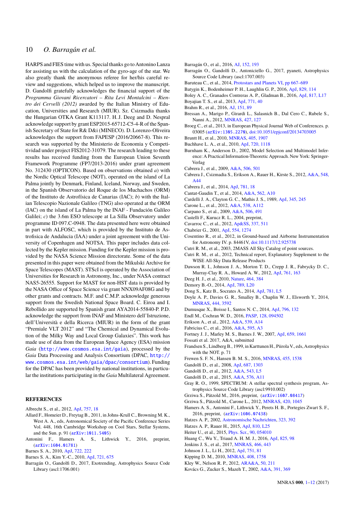# 10 *O. Barragán et al.*

HARPS and FIES time with us. Special thanks go to Antonino Lanza for assisting us with the calculation of the gyro-age of the star. We also greatly thank the anonymous referee for her/his careful review and suggestions, which helped us to improve the manuscript. D. Gandolfi gratefully acknowledges the financial support of the *Programma Giovani Ricercatori – Rita Levi Montalcini – Rientro dei Cervelli (2012)* awarded by the Italian Ministry of Education, Universities and Research (MIUR). Sz. Csizmadia thanks the Hungarian OTKA Grant K113117. H. J. Deeg and D. Nespral acknowledge support by grant ESP2015-65712-C5-4-R of the Spanish Secretary of State for R& D&i (MINECO). D. Lorenzo-Oliveira acknowledges the support from FAPESP (2016/20667-8). This research was supported by the Ministerio de Economia y Competitividad under project FIS2012-31079. The research leading to these results has received funding from the European Union Seventh Framework Programme (FP7/2013-2016) under grant agreement No. 312430 (OPTICON). Based on observations obtained *a*) with the Nordic Optical Telescope (NOT), operated on the island of La Palma jointly by Denmark, Finland, Iceland, Norway, and Sweden, in the Spanish Observatorio del Roque de los Muchachos (ORM) of the Instituto de Astrofísica de Canarias (IAC); *b*) with the Italian Telescopio Nazionale Galileo (TNG) also operated at the ORM (IAC) on the island of La Palma by the INAF - Fundación Galileo Galilei; *c*) the 3.6m ESO telescope at La Silla Observatory under programme ID 097.C-0948. The data presented here were obtained in part with ALFOSC, which is provided by the Instituto de Astrofisica de Andalucia (IAA) under a joint agreement with the University of Copenhagen and NOTSA. This paper includes data collected by the Kepler mission. Funding for the Kepler mission is provided by the NASA Science Mission directorate. Some of the data presented in this paper were obtained from the Mikulski Archive for Space Telescopes (MAST). STScI is operated by the Association of Universities for Research in Astronomy, Inc., under NASA contract NAS5-26555. Support for MAST for non-HST data is provided by the NASA Office of Space Science via grant NNX09AF08G and by other grants and contracts. M.F. and C.M.P. acknowledge generous support from the Swedish National Space Board. C. Eiroa and I. Rebollido are supported by Spanish grant AYA2014-55840-P. P.D. acknowledge the support from INAF and Ministero dell'Istruzione, dell'Università e della Ricerca (MIUR) in the form of the grant "Premiale VLT 2012" and "The Chemical and Dynamical Evolution of the Milky Way and Local Group Galaxies". This work has made use of data from the European Space Agency (ESA) mission *Gaia* (<http://www.cosmos.esa.int/gaia>), processed by the *Gaia* Data Processing and Analysis Consortium (DPAC, [http://](http://www.cosmos.esa.int/web/gaia/dpac/consortium) [www.cosmos.esa.int/web/gaia/dpac/consortium](http://www.cosmos.esa.int/web/gaia/dpac/consortium)). Funding for the DPAC has been provided by national institutions, in particular the institutions participating in the *Gaia* Multilateral Agreement.

## **REFERENCES**

- <span id="page-9-57"></span>Albrecht S., et al., 2012, [ApJ,](http://dx.doi.org/10.1088/0004-637X/757/1/18) [757, 18](http://adsabs.harvard.edu/abs/2012ApJ...757...18A)
- <span id="page-9-38"></span>Allard F., Homeier D., Freytag B., 2011, in Johns-Krull C., Browning M. K., West A. A., eds, Astronomical Society of the Pacific Conference Series Vol. 448, 16th Cambridge Workshop on Cool Stars, Stellar Systems, and the Sun. p. 91 ([arXiv:1011.5405](http://arxiv.org/abs/1011.5405))
- <span id="page-9-11"></span>Antonini F., Hamers A. S., Lithwick Y., 2016, preprint, ([arXiv:1604.01781](http://arxiv.org/abs/1604.01781))
- <span id="page-9-44"></span>Barnes S. A., 2010, [ApJ,](http://dx.doi.org/10.1088/0004-637X/722/1/222) [722, 222](http://adsabs.harvard.edu/abs/2010ApJ...722..222B)
- <span id="page-9-43"></span>Barnes S. A., Kim Y.-C., 2010, [ApJ,](http://dx.doi.org/10.1088/0004-637X/721/1/675) [721, 675](http://adsabs.harvard.edu/abs/2010ApJ...721..675B)
- <span id="page-9-46"></span>Barragán O., Gandolfi D., 2017, Exotrending, Astrophysics Source Code Library (ascl:1706.001)
- <span id="page-9-47"></span>Barragán O., et al., 2016, [AJ,](http://dx.doi.org/10.3847/0004-6256/152/6/193) [152, 193](http://adsabs.harvard.edu/abs/2016AJ....152..193B)
- <span id="page-9-45"></span>Barragán O., Gandolfi D., Antoniciello G., 2017, pyaneti, Astrophysics Source Code Library (ascl:1707.003)
- <span id="page-9-56"></span>Baruteau C., et al., 2014, [Protostars and Planets VI,](http://dx.doi.org/10.2458/azu_uapress_9780816531240-ch029) [pp 667–689](http://adsabs.harvard.edu/abs/2014prpl.conf..667B)
- <span id="page-9-53"></span>Batygin K., Bodenheimer P. H., Laughlin G. P., 2016, [ApJ,](http://dx.doi.org/10.3847/0004-637X/829/2/114) [829, 114](http://adsabs.harvard.edu/abs/2016ApJ...829..114B)
- <span id="page-9-2"></span>Boley A. C., Granados Contreras A. P., Gladman B., 2016, [ApJ,](http://dx.doi.org/10.3847/2041-8205/817/2/L17) [817, L17](http://adsabs.harvard.edu/abs/2016ApJ...817L..17B)
- <span id="page-9-36"></span>Boyajian T. S., et al., 2013, [ApJ,](http://dx.doi.org/10.1088/0004-637X/771/1/40) [771, 40](http://adsabs.harvard.edu/abs/2013ApJ...771...40B)
- <span id="page-9-5"></span>Brahm R., et al., 2016, [AJ,](http://dx.doi.org/10.3847/0004-6256/151/4/89) [151, 89](http://adsabs.harvard.edu/abs/2016AJ....151...89B)
- <span id="page-9-40"></span>Bressan A., Marigo P., Girardi L., Salasnich B., Dal Cero C., Rubele S., Nanni A., 2012, [MNRAS,](http://dx.doi.org/10.1111/j.1365-2966.2012.21948.x) [427, 127](http://adsabs.harvard.edu/abs/2012MNRAS.427..127B)
- <span id="page-9-59"></span>Broeg C., et al., 2013, in European Physical Journal Web of Conferences. p. 03005 ([arXiv:1305.2270](http://arxiv.org/abs/1305.2270)), [doi:10.1051/epjconf/20134703005](http://dx.doi.org/10.1051/epjconf/20134703005)
- <span id="page-9-32"></span>Bruntt H., et al., 2010, [MNRAS,](http://dx.doi.org/10.1111/j.1365-2966.2010.16575.x) [405, 1907](http://adsabs.harvard.edu/abs/2010MNRAS.405.1907B)
- <span id="page-9-27"></span>Buchhave L. A., et al., 2010, [ApJ,](http://dx.doi.org/10.1088/0004-637X/720/2/1118) [720, 1118](http://adsabs.harvard.edu/abs/2010ApJ...720.1118B)
- <span id="page-9-51"></span>Burnham K., Anderson D., 2002, Model Selection and Multimodel Inference: A Practical Information-Theoretic Approach. New York: Springer-Verlag
- <span id="page-9-19"></span>Cabrera J., et al., 2009, [A&A,](http://dx.doi.org/10.1051/0004-6361/200912684) [506, 501](http://adsabs.harvard.edu/abs/2009A%26A...506..501C)
- <span id="page-9-15"></span>Cabrera J., Csizmadia S., Erikson A., Rauer H., Kirste S., 2012, [A&A,](http://dx.doi.org/10.1051/0004-6361/201219337) [548,](http://adsabs.harvard.edu/abs/2012A%26A...548A..44C) [A44](http://adsabs.harvard.edu/abs/2012A%26A...548A..44C)
- <span id="page-9-23"></span>Cabrera J., et al., 2014, [ApJ,](http://dx.doi.org/10.1088/0004-637X/781/1/18) [781, 18](http://adsabs.harvard.edu/abs/2014ApJ...781...18C)
- <span id="page-9-34"></span>Cantat-Gaudin T., et al., 2014, [A&A,](http://dx.doi.org/10.1051/0004-6361/201322533) [562, A10](http://adsabs.harvard.edu/abs/2014A%26A...562A..10C)
- <span id="page-9-39"></span>Cardelli J. A., Clayton G. C., Mathis J. S., 1989, [ApJ,](http://dx.doi.org/10.1086/167900) [345, 245](http://adsabs.harvard.edu/abs/1989ApJ...345..245C)
- <span id="page-9-21"></span>Carone L., et al., 2012, [A&A,](http://dx.doi.org/10.1051/0004-6361/201116968) [538, A112](http://adsabs.harvard.edu/abs/2012A%26A...538A.112C)
- <span id="page-9-18"></span>Carpano S., et al., 2009, [A&A,](http://dx.doi.org/10.1051/0004-6361/200911882) [506, 491](http://adsabs.harvard.edu/abs/2009A%26A...506..491C)
- <span id="page-9-31"></span>Castelli F., Kurucz R. L., 2004, preprint,
- <span id="page-9-22"></span>Cavarroc C., et al., 2012, [Ap&SS,](http://dx.doi.org/10.1007/s10509-011-0897-1) [337, 511](http://adsabs.harvard.edu/abs/2012Ap%26SS.337..511C)
- <span id="page-9-42"></span>Chabrier G., 2001, [ApJ,](http://dx.doi.org/10.1086/321401) [554, 1274](http://adsabs.harvard.edu/abs/2001ApJ...554.1274C)
- <span id="page-9-29"></span>Cosentino R., et al., 2012, in Ground-based and Airborne Instrumentation for Astronomy IV. p. 84461V, [doi:10.1117/12.925738](http://dx.doi.org/10.1117/12.925738)
- <span id="page-9-13"></span>Cutri R. M., et al., 2003, 2MASS All Sky Catalog of point sources.
- <span id="page-9-14"></span>Cutri R. M., et al., 2012, Technical report, Explanatory Supplement to the WISE All-Sky Data Release Products
- <span id="page-9-8"></span>Dawson R. I., Johnson J. A., Morton T. D., Crepp J. R., Fabrycky D. C., Murray-Clay R. A., Howard A. W., 2012, [ApJ,](http://dx.doi.org/10.1088/0004-637X/761/2/163) [761, 163](http://adsabs.harvard.edu/abs/2012ApJ...761..163D)
- <span id="page-9-54"></span><span id="page-9-7"></span>Deeg H. J., et al., 2010, [Nature,](http://dx.doi.org/10.1038/nature08856) [464, 384](http://adsabs.harvard.edu/abs/2010Natur.464..384D)
- Demory B.-O., 2014, [ApJ,](http://dx.doi.org/10.1088/2041-8205/789/1/L20) [789, L20](http://adsabs.harvard.edu/abs/2014ApJ...789L..20D)
- <span id="page-9-9"></span>Dong S., Katz B., Socrates A., 2014, [ApJ,](http://dx.doi.org/10.1088/2041-8205/781/1/L5) [781, L5](http://adsabs.harvard.edu/abs/2014ApJ...781L...5D)
- <span id="page-9-33"></span>Doyle A. P., Davies G. R., Smalley B., Chaplin W. J., Elsworth Y., 2014, [MNRAS,](http://dx.doi.org/10.1093/mnras/stu1692) [444, 3592](http://adsabs.harvard.edu/abs/2014MNRAS.444.3592D)
- <span id="page-9-50"></span>Dumusque X., Boisse I., Santos N. C., 2014, [ApJ,](http://dx.doi.org/10.1088/0004-637X/796/2/132) [796, 132](http://adsabs.harvard.edu/abs/2014ApJ...796..132D)
- <span id="page-9-25"></span>Endl M., Cochran W. D., 2016, [PASP,](http://dx.doi.org/10.1088/1538-3873/128/967/094502) [128, 094502](http://adsabs.harvard.edu/abs/2016PASP..128i4502E)
- <span id="page-9-20"></span>Erikson A., et al., 2012, [A&A,](http://dx.doi.org/10.1051/0004-6361/201116934) [539, A14](http://adsabs.harvard.edu/abs/2012A%26A...539A..14E)
- <span id="page-9-12"></span>Fabricius C., et al., 2016, [A&A,](http://dx.doi.org/10.1051/0004-6361/201628643) [595, A3](http://adsabs.harvard.edu/abs/2016A%26A...595A...3F)
- <span id="page-9-52"></span>Fortney J. J., Marley M. S., Barnes J. W., 2007, [ApJ,](http://dx.doi.org/10.1086/512120) [659, 1661](http://adsabs.harvard.edu/abs/2007ApJ...659.1661F)
- <span id="page-9-41"></span>Fossati et al. 2017, A&A, submitted
- <span id="page-9-26"></span>Frandsen S., Lindberg B., 1999, in Karttunen H., Piirola V., eds, Astrophysics with the NOT. p. 71
- <span id="page-9-1"></span>Frewen S. F. N., Hansen B. M. S., 2016, [MNRAS,](http://dx.doi.org/10.1093/mnras/stv2322) [455, 1538](http://adsabs.harvard.edu/abs/2016MNRAS.455.1538F)
- <span id="page-9-37"></span>Gandolfi D., et al., 2008, [ApJ,](http://dx.doi.org/10.1086/591729) [687, 1303](http://adsabs.harvard.edu/abs/2008ApJ...687.1303G)
- <span id="page-9-58"></span>Gandolfi D., et al., 2012, [A&A,](http://dx.doi.org/10.1051/0004-6361/201219533) [543, L5](http://adsabs.harvard.edu/abs/2012A%26A...543L...5G)
- <span id="page-9-28"></span>Gandolfi D., et al., 2015, [A&A,](http://dx.doi.org/10.1051/0004-6361/201425062) [576, A11](http://adsabs.harvard.edu/abs/2015A%26A...576A..11G)
- <span id="page-9-30"></span>Gray R. O., 1999, SPECTRUM: A stellar spectral synthesis program, Astrophysics Source Code Library (ascl:9910.002)
- <span id="page-9-17"></span>Grziwa S., Pätzold M., 2016, preprint, ([arXiv:1607.08417](http://arxiv.org/abs/1607.08417))
- <span id="page-9-16"></span>Grziwa S., Pätzold M., Carone L., 2012, [MNRAS,](http://dx.doi.org/10.1111/j.1365-2966.2011.19970.x) [420, 1045](http://adsabs.harvard.edu/abs/2012MNRAS.420.1045G)
- <span id="page-9-10"></span>Hamers A. S., Antonini F., Lithwick Y., Perets H. B., Portegies Zwart S. F., 2016, preprint, ([arXiv:1606.07438](http://arxiv.org/abs/1606.07438))
- <span id="page-9-49"></span>Hatzes A. P., 2002, [Astronomische Nachrichten,](http://dx.doi.org/10.1002/1521-3994(200208)323:3/4<392::AID-ASNA392>3.0.CO;2-M) [323, 392](http://adsabs.harvard.edu/abs/2002AN....323..392H)
- <span id="page-9-0"></span>Hatzes A. P., Rauer H., 2015, [ApJ,](http://dx.doi.org/10.1088/2041-8205/810/2/L25) [810, L25](http://adsabs.harvard.edu/abs/2015ApJ...810L..25H)
- <span id="page-9-35"></span>Heiter U., et al., 2015, [Phys. Scr.,](http://dx.doi.org/10.1088/0031-8949/90/5/054010) [90, 054010](http://adsabs.harvard.edu/abs/2015PhyS...90e4010H)
- <span id="page-9-4"></span>Huang C., Wu Y., Triaud A. H. M. J., 2016, [ApJ,](http://dx.doi.org/10.3847/0004-637X/825/2/98) [825, 98](http://adsabs.harvard.edu/abs/2016ApJ...825...98H)
- <span id="page-9-6"></span>Jenkins J. S., et al., 2017, [MNRAS,](http://dx.doi.org/10.1093/mnras/stw2811) [466, 443](http://adsabs.harvard.edu/abs/2017MNRAS.466..443J)
- <span id="page-9-55"></span>Johnson J. L., Li H., 2012, [ApJ,](http://dx.doi.org/10.1088/0004-637X/751/2/81) [751, 81](http://adsabs.harvard.edu/abs/2012ApJ...751...81J)
- <span id="page-9-48"></span>Kipping D. M., 2010, [MNRAS,](http://dx.doi.org/10.1111/j.1365-2966.2010.17242.x) [408, 1758](http://adsabs.harvard.edu/abs/2010MNRAS.408.1758K)
- <span id="page-9-3"></span>Kley W., Nelson R. P., 2012, [ARA&A,](http://dx.doi.org/10.1146/annurev-astro-081811-125523) [50, 211](http://adsabs.harvard.edu/abs/2012ARA%26A..50..211K)
- <span id="page-9-24"></span>Kovács G., Zucker S., Mazeh T., 2002, [A&A,](http://dx.doi.org/10.1051/0004-6361:20020802) [391, 369](http://adsabs.harvard.edu/abs/2002A%26A...391..369K)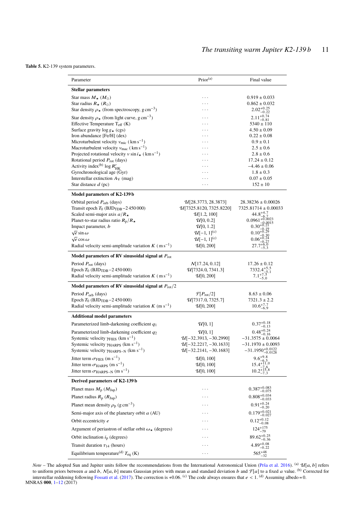<span id="page-10-0"></span>**Table 5.** K2-139 system parameters.

| Parameter                                                                                                                        | Prior <sup>(a)</sup>                             | Final value                                  |
|----------------------------------------------------------------------------------------------------------------------------------|--------------------------------------------------|----------------------------------------------|
| <b>Stellar parameters</b>                                                                                                        |                                                  |                                              |
| Star mass $M_{\star}$ ( $M_{\odot}$ )                                                                                            | .                                                | $0.919 \pm 0.033$                            |
| Star radius $R_{\star}$ ( $R_{\odot}$ )                                                                                          |                                                  | $0.862 \pm 0.032$                            |
| Star density $\rho_{\star}$ (from spectroscopy, g cm <sup>-3</sup> )                                                             | .                                                | $2.02_{-0.22}^{+0.25}$                       |
| Star density $\rho_{\star}$ (from light curve, g cm <sup>-3</sup> )                                                              | .                                                | $2.11_{-0.81}^{+0.74}$                       |
| Effective Temperature $T_{\text{eff}}$ (K)                                                                                       |                                                  | $5340 \pm 110$                               |
| Surface gravity $\log g_{\star}$ (cgs)                                                                                           | .                                                | $4.50 \pm 0.09$                              |
| Iron abundance [Fe/H] (dex)                                                                                                      | .                                                | $0.22 \pm 0.08$                              |
| Microturbulent velocity $v_{\text{mic}}$ (km s <sup>-1</sup> )<br>Macroturbulent velocity $v_{\text{mac}}$ (km s <sup>-1</sup> ) |                                                  | $0.9 \pm 0.1$<br>$2.5 \pm 0.6$               |
| Projected rotational velocity v sin $i_{\star}$ (km s <sup>-1</sup> )                                                            |                                                  | $2.8 \pm 0.6$                                |
| Rotational period $P_{\text{rot}}$ (days)                                                                                        |                                                  | $17.24 \pm 0.12$                             |
| Activity index <sup>(b)</sup> log $R'_{HK}$                                                                                      |                                                  | $-4.46 \pm 0.06$                             |
| Gyrochronological age (Gyr)                                                                                                      |                                                  | $1.8 \pm 0.3$                                |
| Interstellar extinction $A_V$ (mag)                                                                                              |                                                  | $0.07 \pm 0.05$                              |
| Star distance $d$ (pc)                                                                                                           |                                                  | $152 \pm 10$                                 |
| Model parameters of K2-139 b                                                                                                     |                                                  |                                              |
| Orbital period $P_{\text{orb}}$ (days)                                                                                           | $\mathcal{U}[28.3773, 28.3873]$                  | $28.38236 \pm 0.00026$                       |
| Transit epoch $T_0$ (BJD <sub>TDB</sub> $-2450000$ )                                                                             | $\mathcal{U}[7325.8120, 7325.8220]$              | $7325.81714 \pm 0.00033$<br>$44.8^{+4.7}$    |
| Scaled semi-major axis $a/R_{\star}$                                                                                             | $\mathcal{U}[1.2, 100]$<br>$\mathcal{U}[0, 0.2]$ | $0.0961 + 0.0023$                            |
| Planet-to-star radius ratio $R_p/R_{\star}$<br>Impact parameter, <i>b</i>                                                        | $\mathcal{U}[0, 1.2]$                            | $0.30^{+0.1}$                                |
| $\sqrt{e}$ sin $\omega$                                                                                                          | $U[-1, 1]^{(c)}$                                 | $0.10^{+0.29}$                               |
| $\sqrt{e}$ cos $\omega$                                                                                                          | $U[-1, 1]^{(c)}$                                 |                                              |
| Radial velocity semi-amplitude variation $K$ (m s <sup>-1</sup> )                                                                | U[0, 200]                                        | $+6.0$                                       |
| Model parameters of RV sinusoidal signal at $P_{\text{rot}}$                                                                     |                                                  |                                              |
| Period $P_{\text{rot}}$ (days)                                                                                                   | N[17.24, 0.12]                                   | $17.26 \pm 0.12$                             |
| Epoch $T_0$ (BJD <sub>TDB</sub> $-2450000$ )                                                                                     | U[7324.0, 7341.3]                                | $7332.4^{+5.5}$                              |
| Radial velocity semi-amplitude variation $K$ (m s <sup>-1</sup> )                                                                | U[0, 200]                                        | $7.1^{+7.5}_{-5.0}$                          |
| Model parameters of RV sinusoidal signal at $P_{\text{rot}}/2$                                                                   |                                                  |                                              |
| Period $P_{\text{orb}}$ (days)                                                                                                   | $\mathcal{F}[P_{\rm rot}/2]$                     | $8.63 \pm 0.06$                              |
| Epoch $T_0$ (BJD <sub>TDB</sub> $-2450000$ )                                                                                     | U[7317.0, 7325.7]                                | $7321.3 \pm 2.2$                             |
| Radial velocity semi-amplitude variation $K$ (m s <sup>-1</sup> )                                                                | U[0, 200]                                        | $10.6^{+7.7}_{-6.7}$<br>6.9                  |
| <b>Additional model parameters</b>                                                                                               |                                                  |                                              |
| Parameterized limb-darkening coefficient $q_1$                                                                                   | $\mathcal{U}[0,1]$                               | $0.37^{+0.18}_{-0.13}$                       |
| Parameterized limb-darkening coefficient $q_2$                                                                                   | $\mathcal{U}[0,1]$                               | $0.48^{+0.24}$<br>$-0.16$                    |
| Systemic velocity $\gamma$ FIES (km s <sup>-1</sup> )                                                                            | $U[-32.3913, -30.2990]$                          | $-31.3575 \pm 0.0064$                        |
| Systemic velocity $\gamma_{\text{HARPS}}$ (km s <sup>-1</sup> )                                                                  | $U[-32.2217, -30.1633]$                          | $-31.1970 \pm 0.0093$                        |
| Systemic velocity $\gamma_{\text{HARPS-N}}$ (km s <sup>-1</sup> )                                                                | $U[-32.2141, -30.1683]$                          | $-31.1950_{-0.0128}^{+0.0122}$               |
| Jitter term $\sigma_{\rm FIES}$ (m s <sup>-1</sup> )                                                                             | U[0, 100]                                        | $9.6^{+9.8}_{-6.2}$<br>$15.4^{+11.0}_{-1.0}$ |
| Jitter term $\sigma_{\text{HARPS}}$ (m s <sup>-1</sup> )<br>Jitter term $\sigma_{\text{HARPS-N}}$ (m s <sup>-1</sup> )           | U[0, 100]<br>U[0, 100]                           | $10.2^{+15.8}_{-7.6}$                        |
| Derived parameters of K2-139 b                                                                                                   |                                                  | $-7.3$                                       |
| Planet mass $M_p$ ( $M_{\text{Jup}}$ )                                                                                           | .                                                | $0.387^{+0.083}_{-0.075}$                    |
| Planet radius $R_p(R_{Jup})$                                                                                                     |                                                  | $0.808^{+0.034}_{-0.033}$                    |
| Planet mean density $\rho_p$ (g cm <sup>-3</sup> )                                                                               | .                                                | $0.91_{-0.20}^{+0.24}$                       |
| Semi-major axis of the planetary orbit $a$ (AU)                                                                                  | .                                                | $0.179^{+0.021}$                             |
| Orbit eccentricity e                                                                                                             | .                                                | $-0.027$<br>$0.12_{-0.08}^{+0.12}$           |
|                                                                                                                                  |                                                  |                                              |
| Argument of periastron of stellar orbit $\omega_{\star}$ (degrees)                                                               | .                                                | $124^{+175}_{-79}$                           |
| Orbit inclination $i_p$ (degrees)                                                                                                | .                                                | $89.62^{+0.25}_{-0.36}$                      |
| Transit duration $\tau_{14}$ (hours)                                                                                             | .                                                | $4.89^{+0.08}_{-0.22}$                       |
| Equilibrium temperature <sup>(d)</sup> $T_{eq}$ (K)                                                                              | $\cdots$                                         | $565^{+48}_{-32}$                            |

*Note* – The adopted Sun and Jupiter units follow the recommendations from the International Astronomical Union [\(Prša et al.](#page-11-33) [2016\)](#page-11-33). <sup>(a)</sup>  $U[a, b]$  refers to uniform priors between a and b,  $N[a, b]$  means Gaussian priors with mean a and standard deviation b and  $\mathcal{F}[a]$  to a fixed a value. (b) Corrected for interstellar reddening following Essesti et al. (2017). The correc interstellar reddening following [Fossati et al.](#page-9-41) [\(2017\)](#page-9-41). The correction is +0.06. <sup>(c)</sup> The code always ensures that  $e < 1$ . <sup>(d)</sup> Assuming albedo = 0.<br>RAS 000 1–12 (2017) MNRAS **000**, [1](#page-0-0)[–12](#page-10-0) (2017)